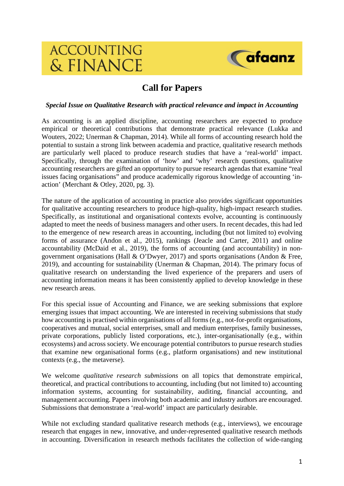# **ACCOUNTING** & FINANCE



# **Call for Papers**

#### *Special Issue on Qualitative Research with practical relevance and impact in Accounting*

As accounting is an applied discipline, accounting researchers are expected to produce empirical or theoretical contributions that demonstrate practical relevance (Lukka and Wouters, 2022; Unerman & Chapman, 2014). While all forms of accounting research hold the potential to sustain a strong link between academia and practice, qualitative research methods are particularly well placed to produce research studies that have a 'real-world' impact. Specifically, through the examination of 'how' and 'why' research questions, qualitative accounting researchers are gifted an opportunity to pursue research agendas that examine "real issues facing organisations" and produce academically rigorous knowledge of accounting 'inaction' (Merchant & Otley, 2020, pg. 3).

The nature of the application of accounting in practice also provides significant opportunities for qualitative accounting researchers to produce high-quality, high-impact research studies. Specifically, as institutional and organisational contexts evolve, accounting is continuously adapted to meet the needs of business managers and other users. In recent decades, this had led to the emergence of new research areas in accounting, including (but not limited to) evolving forms of assurance (Andon et al., 2015), rankings (Jeacle and Carter, 2011) and online accountability (McDaid et al., 2019), the forms of accounting (and accountability) in nongovernment organisations (Hall & O'Dwyer, 2017) and sports organisations (Andon & Free, 2019), and accounting for sustainability (Unerman & Chapman, 2014). The primary focus of qualitative research on understanding the lived experience of the preparers and users of accounting information means it has been consistently applied to develop knowledge in these new research areas.

For this special issue of Accounting and Finance, we are seeking submissions that explore emerging issues that impact accounting. We are interested in receiving submissions that study how accounting is practised within organisations of all forms (e.g., not-for-profit organisations, cooperatives and mutual, social enterprises, small and medium enterprises, family businesses, private corporations, publicly listed corporations, etc.), inter-organisationally (e.g., within ecosystems) and across society. We encourage potential contributors to pursue research studies that examine new organisational forms (e.g., platform organisations) and new institutional contexts (e.g., the metaverse).

We welcome *qualitative research submissions* on all topics that demonstrate empirical, theoretical, and practical contributions to accounting, including (but not limited to) accounting information systems, accounting for sustainability, auditing, financial accounting, and management accounting. Papers involving both academic and industry authors are encouraged. Submissions that demonstrate a 'real-world' impact are particularly desirable.

While not excluding standard qualitative research methods (e.g., interviews), we encourage research that engages in new, innovative, and under-represented qualitative research methods in accounting. Diversification in research methods facilitates the collection of wide-ranging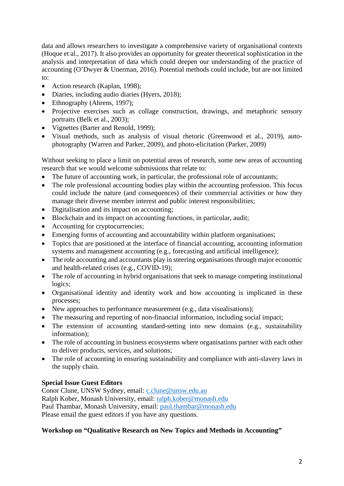data and allows researchers to investigate a comprehensive variety of organisational contexts (Hoque et al., 2017). It also provides an opportunity for greater theoretical sophistication in the analysis and interpretation of data which could deepen our understanding of the practice of accounting (O'Dwyer & Unerman, 2016). Potential methods could include, but are not limited to:

- Action research (Kaplan, 1998);
- Diaries, including audio diaries (Hyers, 2018);
- Ethnography (Ahrens, 1997);
- Projective exercises such as collage construction, drawings, and metaphoric sensory portraits (Belk et al., 2003);
- Vignettes (Barter and Renold, 1999);
- Visual methods, such as analysis of visual rhetoric (Greenwood et al., 2019), autophotography (Warren and Parker, 2009), and photo-elicitation (Parker, 2009)

Without seeking to place a limit on potential areas of research, some new areas of accounting research that we would welcome submissions that relate to:

- The future of accounting work, in particular, the professional role of accountants;
- The role professional accounting bodies play within the accounting profession. This focus could include the nature (and consequences) of their commercial activities or how they manage their diverse member interest and public interest responsibilities;
- Digitalisation and its impact on accounting;
- Blockchain and its impact on accounting functions, in particular, audit;
- Accounting for cryptocurrencies;
- Emerging forms of accounting and accountability within platform organisations;
- Topics that are positioned at the interface of financial accounting, accounting information systems and management accounting (e.g., forecasting and artificial intelligence);
- The role accounting and accountants play in steering organisations through major economic and health-related crises (e.g., COVID-19);
- The role of accounting in hybrid organisations that seek to manage competing institutional logics;
- Organisational identity and identity work and how accounting is implicated in these processes;
- New approaches to performance measurement (e.g., data visualisations);
- The measuring and reporting of non-financial information, including social impact;
- The extension of accounting standard-setting into new domains (e.g., sustainability information);
- The role of accounting in business ecosystems where organisations partner with each other to deliver products, services, and solutions;
- The role of accounting in ensuring sustainability and compliance with anti-slavery laws in the supply chain.

## **Special Issue Guest Editors**

Conor Clune, UNSW Sydney, email: [c.clune@unsw.edu.au](mailto:c.clune@unsw.edu.au) Ralph Kober, Monash University, email: [ralph.kober@monash.edu](mailto:ralph.kober@monash.edu) Paul Thambar, Monash University, email: [paul.thambar@monash.edu](mailto:paul.thambar@monash.edu) Please email the guest editors if you have any questions.

### **Workshop on "Qualitative Research on New Topics and Methods in Accounting"**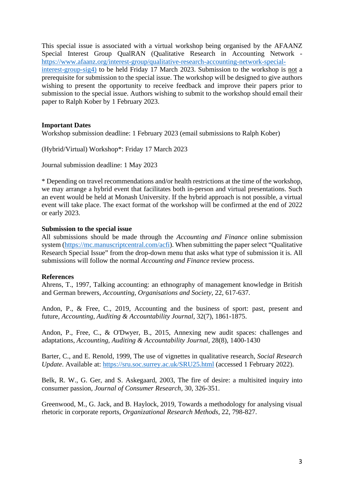This special issue is associated with a virtual workshop being organised by the AFAANZ Special Interest Group QualRAN (Qualitative Research in Accounting Network [https://www.afaanz.org/interest-group/qualitative-research-accounting-network-special](https://www.afaanz.org/interest-group/qualitative-research-accounting-network-special-interest-group-sig4))[interest-group-sig4\)](https://www.afaanz.org/interest-group/qualitative-research-accounting-network-special-interest-group-sig4)) to be held Friday 17 March 2023. Submission to the workshop is not a prerequisite for submission to the special issue. The workshop will be designed to give authors wishing to present the opportunity to receive feedback and improve their papers prior to submission to the special issue. Authors wishing to submit to the workshop should email their paper to Ralph Kober by 1 February 2023.

#### **Important Dates**

Workshop submission deadline: 1 February 2023 (email submissions to Ralph Kober)

(Hybrid/Virtual) Workshop\*: Friday 17 March 2023

Journal submission deadline: 1 May 2023

\* Depending on travel recommendations and/or health restrictions at the time of the workshop, we may arrange a hybrid event that facilitates both in-person and virtual presentations. Such an event would be held at Monash University. If the hybrid approach is not possible, a virtual event will take place. The exact format of the workshop will be confirmed at the end of 2022 or early 2023.

#### **Submission to the special issue**

All submissions should be made through the *Accounting and Finance* online submission system [\(https://mc.manuscriptcentral.com/acfi\)](https://mc.manuscriptcentral.com/acfi). When submitting the paper select "Qualitative Research Special Issue" from the drop-down menu that asks what type of submission it is. All submissions will follow the normal *Accounting and Finance* review process.

#### **References**

Ahrens, T., 1997, Talking accounting: an ethnography of management knowledge in British and German brewers, *Accounting, Organisations and Society*, 22, 617-637.

Andon, P., & Free, C., 2019, Accounting and the business of sport: past, present and future, *Accounting, Auditing & Accountability Journal*, 32(7), 1861-1875.

Andon, P., Free, C., & O'Dwyer, B., 2015, Annexing new audit spaces: challenges and adaptations, *Accounting, Auditing & Accountability Journal*, 28(8), 1400-1430

Barter, C., and E. Renold, 1999, The use of vignettes in qualitative research, *Social Research Update*. Available at:<https://sru.soc.surrey.ac.uk/SRU25.html> (accessed 1 February 2022).

Belk, R. W., G. Ger, and S. Askegaard, 2003, The fire of desire: a multisited inquiry into consumer passion, *Journal of Consumer Research*, 30, 326-351.

Greenwood, M., G. Jack, and B. Haylock, 2019, Towards a methodology for analysing visual rhetoric in corporate reports, *Organizational Research Methods*, 22, 798-827.